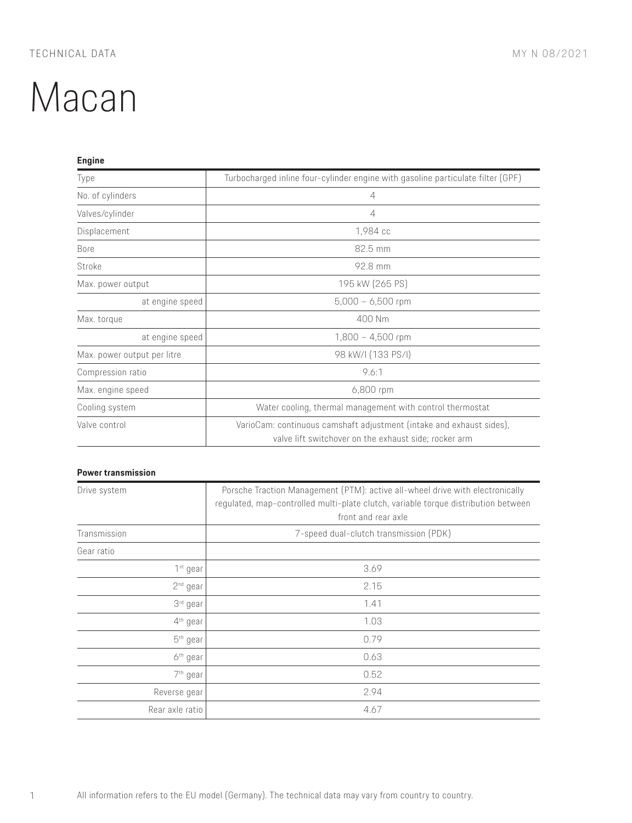| <b>Engine</b>               |                                                                                                                               |
|-----------------------------|-------------------------------------------------------------------------------------------------------------------------------|
| Type                        | Turbocharged inline four-cylinder engine with gasoline particulate filter (GPF)                                               |
| No. of cylinders            | 4                                                                                                                             |
| Valves/cylinder             | $\overline{4}$                                                                                                                |
| Displacement                | 1,984 cc                                                                                                                      |
| <b>Bore</b>                 | 82.5 mm                                                                                                                       |
| Stroke                      | 92.8 mm                                                                                                                       |
| Max. power output           | 195 kW (265 PS)                                                                                                               |
| at engine speed             | $5,000 - 6,500$ rpm                                                                                                           |
| Max. torque                 | 400 Nm                                                                                                                        |
| at engine speed             | $1,800 - 4,500$ rpm                                                                                                           |
| Max. power output per litre | 98 kW/I (133 PS/I)                                                                                                            |
| Compression ratio           | 9.6:1                                                                                                                         |
| Max. engine speed           | 6,800 rpm                                                                                                                     |
| Cooling system              | Water cooling, thermal management with control thermostat                                                                     |
| Valve control               | VarioCam: continuous camshaft adjustment (intake and exhaust sides),<br>valve lift switchover on the exhaust side; rocker arm |

## **Power transmission**

| Drive system         | Porsche Traction Management (PTM): active all-wheel drive with electronically<br>regulated, map-controlled multi-plate clutch, variable torque distribution between<br>front and rear axle |
|----------------------|--------------------------------------------------------------------------------------------------------------------------------------------------------------------------------------------|
| Transmission         | 7-speed dual-clutch transmission (PDK)                                                                                                                                                     |
| Gear ratio           |                                                                                                                                                                                            |
| 1 <sup>st</sup> gear | 3.69                                                                                                                                                                                       |
| 2 <sup>nd</sup> gear | 2.15                                                                                                                                                                                       |
| 3 <sup>rd</sup> gear | 1.41                                                                                                                                                                                       |
| 4 <sup>th</sup> gear | 1.03                                                                                                                                                                                       |
| 5 <sup>th</sup> gear | 0.79                                                                                                                                                                                       |
| 6 <sup>th</sup> gear | 0.63                                                                                                                                                                                       |
| 7 <sup>th</sup> gear | 0.52                                                                                                                                                                                       |
| Reverse gear         | 2.94                                                                                                                                                                                       |
| Rear axle ratio      | 4.67                                                                                                                                                                                       |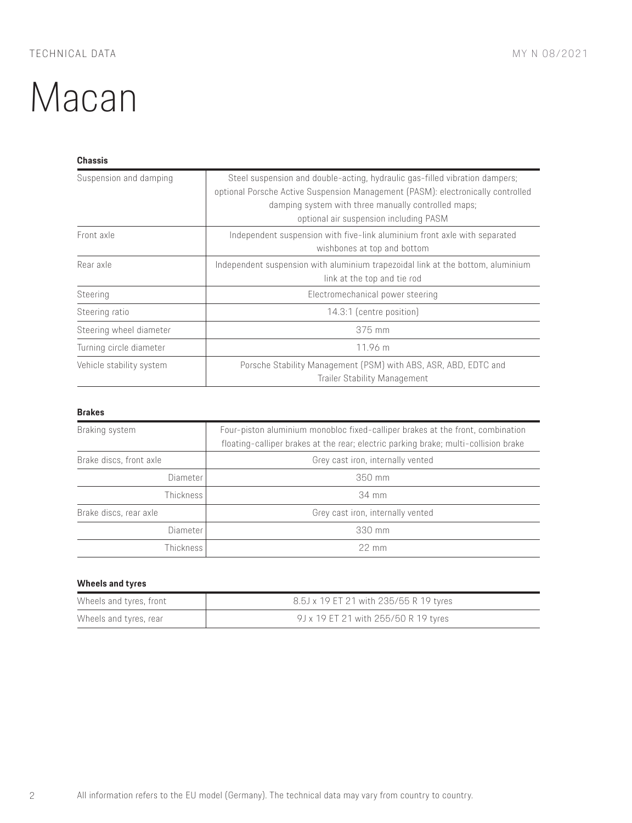#### **Chassis**

| Suspension and damping   | Steel suspension and double-acting, hydraulic gas-filled vibration dampers;<br>optional Porsche Active Suspension Management (PASM): electronically controlled<br>damping system with three manually controlled maps;<br>optional air suspension including PASM |
|--------------------------|-----------------------------------------------------------------------------------------------------------------------------------------------------------------------------------------------------------------------------------------------------------------|
| Front axle               | Independent suspension with five-link aluminium front axle with separated<br>wishbones at top and bottom                                                                                                                                                        |
| Rear axle                | Independent suspension with aluminium trapezoidal link at the bottom, aluminium<br>link at the top and tie rod                                                                                                                                                  |
| Steering                 | Electromechanical power steering                                                                                                                                                                                                                                |
| Steering ratio           | 14.3:1 (centre position)                                                                                                                                                                                                                                        |
| Steering wheel diameter  | 375 mm                                                                                                                                                                                                                                                          |
| Turning circle diameter  | 11.96 m                                                                                                                                                                                                                                                         |
| Vehicle stability system | Porsche Stability Management (PSM) with ABS, ASR, ABD, EDTC and<br><b>Trailer Stability Management</b>                                                                                                                                                          |

#### **Brakes**

| Braking system          | Four-piston aluminium monobloc fixed-calliper brakes at the front, combination<br>floating-calliper brakes at the rear; electric parking brake; multi-collision brake |
|-------------------------|-----------------------------------------------------------------------------------------------------------------------------------------------------------------------|
| Brake discs, front axle | Grey cast iron, internally vented                                                                                                                                     |
| Diameter                | 350 mm                                                                                                                                                                |
| Thickness               | 34 mm                                                                                                                                                                 |
| Brake discs, rear axle  | Grey cast iron, internally vented                                                                                                                                     |
| Diameter                | 330 mm                                                                                                                                                                |
| Thickness               | $22 \text{ mm}$                                                                                                                                                       |

#### **Wheels and tyres**

| Wheels and tyres, front | 8.5J x 19 ET 21 with 235/55 R 19 tyres |
|-------------------------|----------------------------------------|
| Wheels and tyres, rear  | 9J x 19 ET 21 with 255/50 R 19 tyres   |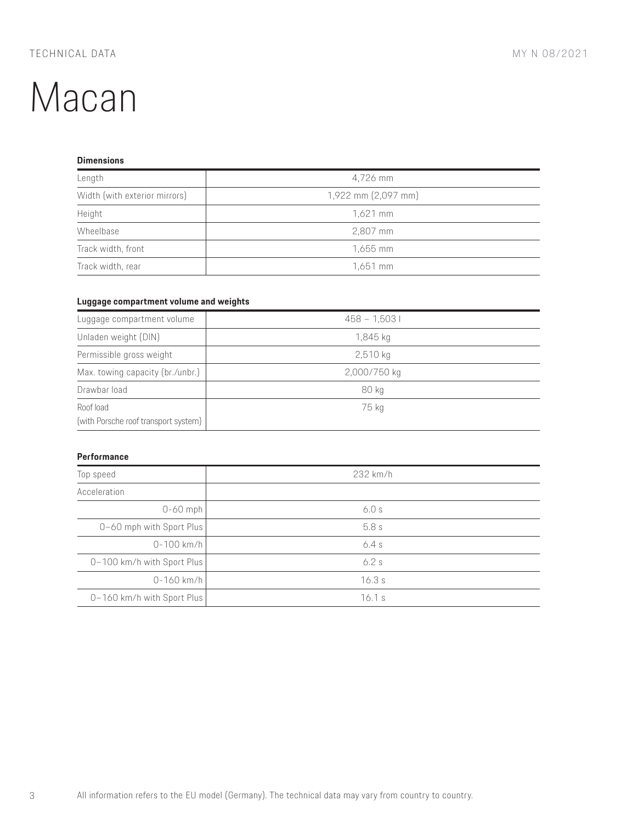## **Dimensions**

| Length                        | 4,726 mm            |
|-------------------------------|---------------------|
| Width (with exterior mirrors) | 1,922 mm (2,097 mm) |
| Height                        | $1,621$ mm          |
| Wheelbase                     | 2,807 mm            |
| Track width, front            | 1,655 mm            |
| Track width, rear             | 1,651 mm            |

### **Luggage compartment volume and weights**

| Luggage compartment volume                        | $458 - 1,5031$ |
|---------------------------------------------------|----------------|
| Unladen weight (DIN)                              | 1,845 kg       |
| Permissible gross weight                          | $2,510$ kg     |
| Max. towing capacity (br./unbr.)                  | 2,000/750 kg   |
| Drawbar load                                      | 80 kg          |
| Roof load<br>(with Porsche roof transport system) | 75 kg          |

#### **Performance**

| Top speed                  | 232 km/h |
|----------------------------|----------|
| Acceleration               |          |
| $0-60$ mph                 | 6.0s     |
| 0-60 mph with Sport Plus   | 5.8s     |
| $0 - 100$ km/h             | 6.4s     |
| 0-100 km/h with Sport Plus | 6.2s     |
| $0 - 160$ km/h             | 16.3s    |
| 0-160 km/h with Sport Plus | 16.1 s   |